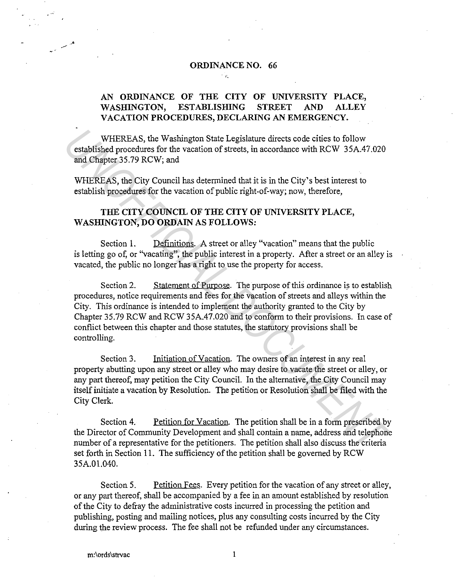#### **ORDINANCE NO. 66**

÷le.

# **AN ORDINANCE OF THE CITY OF UNIVERSITY PLACE, WASHINGTON, ESTABLISHING STREET AND ALLEY VACATION PROCEDURES, DECLARING AN EMERGENCY.**

WHEREAS, the Washington State Legislature directs code cities to follow established procedures for the vacation of streets, in accordance with RCW 35A.47 .020 and Chapter 35.79 RCW; and

WHEREAS, the City Council has determined that it is in the City's best interest to establish procedures for the vacation of public right-of-way; now, therefore,

## **THE CITY COUNCIL OF THE CITY OF UNIVERSITY PLACE, WASHINGTON, DO ORDAIN AS FOLLOWS:**

Section 1. **Definitions.** A street or alley "vacation" means that the public is letting go of, or "vacating'', the public interest in a property. After a street or an alley is vacated, the public no longer has a right to use the property for access.

Section 2. Statement of Purpose. The purpose of this ordinance is to establish procedures, notice requirements and fees for the vacation of streets and alleys within the City. This ordinance is intended to implement the authority granted to the City by Chapter 35.79 RCW and RCW 35A.47.020 and to conform to their provisions. In case of conflict between this chapter and those statutes, the statutory provisions shall be controlling. WHEREAS, the Washington State Legislature directs code cities to follow<br>
established procedures for the vacation of streets, in accordance with RCW 35A.47.020<br>
and Chapter 35.79 RCW; and<br>
use determined that it is in the C

Section 3. Initiation of Vacation. The owners of an interest in any real property abutting upon any street or alley who may desire to vacate the street or alley, or any part thereof, may petition the City Council. In the alternative, the City Council may itself initiate a vacation by Resolution. The petition or Resolution shall be filed with the City Clerk.

Section 4. Petition for Vacation. The petition shall be in a form prescribed by the Director of Community Development and shall contain a name, address and telephone number of a representative for the petitioners. The petition shall also discuss the criteria set forth in Section 11. The sufficiency of the petition shall be governed by RCW 35A.01.040.

Section 5. Petition Fees. Every petition for the vacation of any street or alley, or any part thereof, shall be accompanied by a fee in an amount established by resolution of the City to defray the administrative costs incurred in processing the petition and publishing, posting and mailing notices, plus any consulting costs incurred by the City during the review process. The fee shall not be refunded under any circumstances.

--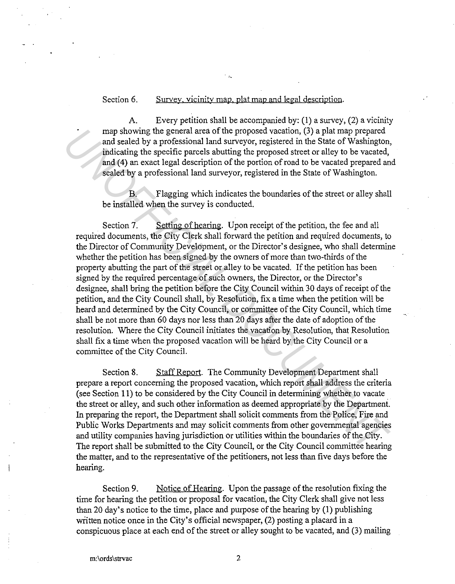## Section 6. Survey, vicinity map, plat map and legal description.

A. Every petition shall be accompanied by:(!) a survey, (2) a vicinity map showing the general area of the proposed vacation, (3) a plat map prepared and sealed by a professional land surveyor, registered in the State of Washington, indicating the specific parcels abutting the proposed street or alley to be vacated, and (4) an exact legal description of the portion of road to be vacated prepared and sealed by a professional land surveyor, registered in the State of Washington.

B. Flagging which indicates the boundaries of the street or alley shall be installed when the survey is conducted.

Section 7. Setting of hearing. Upon receipt of the petition, the fee and all required documents, the City Clerk shall forward the petition and required documents, to the Director of Community Development, or the Director's designee, who shall determine whether the petition has been signed by the owners of more than two-thirds of the property abutting the part of the street or alley to be vacated. If the petition has been signed by the required percentage of such owners, the Director, or the Director's designee, shall bring the petition before the City Council within 30 days of receipt of the petition, and the City Council shall, by Resolution, fix a time when the petition will be heard and determined by the City Council, or committee of the City Council, which time shall be not more than 60 days nor less than 20 days after the date of adoption of the resolution. Where the City Council initiates the vacation by Resolution, that Resolution shall fix a time when the proposed vacation will be heard by the City Council or a committee of the City Council. The gradient care of the proposed vacation, (3) a plat map prepared at the state of Washington, and scaled by a professional land surveyor, registered in the State of Washington, indicating the specific parcels abutting th

Section 8. Staff Report. The Community Development Department shall prepare a report concerning the proposed vacation, which report shall address the criteria (see Section 11) to be considered by the City Council in determining whether to vacate the street or alley, and such other information as deemed appropriate by the Department. In preparing the report, the Department shall solicit comments from the Police, Fire and Public Works Departments and may solicit comments from other governmental agencies and utility companies having jurisdiction or utilities within the boundaries of the City. The report shall be submitted to the City Council, or the City Council committee hearing the matter, and to the representative of the petitioners, not less than five days before the hearing.

Section 9. Notice of Hearing. Upon the passage of the resolution fixing the time for hearing the petition or proposal for vacation, the City Clerk shall give not less than 20 day's notice to the time, place and purpose of the hearing by (1) publishing written notice once in the City's official newspaper, (2) posting a placard in a conspicuous place at each end of the street or alley sought to be vacated, and (3) mailing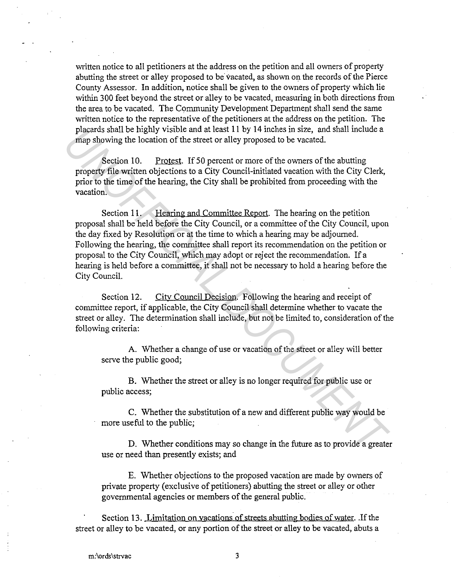written notice to all petitioners at the address on the petition and all owners of property abutting the street or alley proposed to be vacated, as shown on the records of the Pierce County Assessor. In addition, notice shall be given to the owners of property which lie within 300 feet beyond the street or alley to be vacated, measuring in both directions from the area to be vacated. The Community Development Department shall send the same written notice to the representative of the petitioners at the address on the petition. The placards shall be highly visible and at least 11 by 14 inches in size, and shall include a map showing the location of the street or alley proposed to be vacated.

Section 10. Protest. If 50 percent or more of the owners of the abutting property file written objections to a City Council-initiated vacation with the City Clerk, prior to the time of the hearing, the City shall be prohibited from proceeding with the vacation.

Section 11. Hearing and Committee Report. The hearing on the petition proposal shall be held before the City Council, or a committee of the City Council, upon the day fixed by Resolution or at the time to which a hearing may be adjourned. Following the hearing, the committee shall report its recommendation on the petition or proposal to the City Council, which may adopt or reject the recommendation. If a hearing is held before a committee, it shall not be necessary to hold a hearing before the City Council. placents shall be highly visible and at least 11 by 14 inches in stze, and shall include a<br> **Example Showing the location of the stetet or alley proposed to be vacated.**<br> **Section 10.** Prodest. If 50 percent or more of the

Section 12. City Council Decision. Following the hearing and receipt of committee report, if applicable, the City Council shall determine whether to vacate the street or alley. The determination shall include, but not be limited to, consideration of the following criteria:

A. Whether a change of use or vacation of the street or alley will better serve the public good;

B. Whether the street or alley is no longer required for public use or public access;

C. Whether the substitution of a new and different public way would be more useful to the public;

D. Whether conditions may so change in the future as to provide a greater use or need than presently exists; and

E. Whether objections to the proposed vacation are made by owners of private property (exclusive of petitioners) abutting the street or alley or other governmental agencies or members of the general public.

Section 13. Limitation on vacations of streets abutting bodies of water. .If the street or alley to be vacated, or any portion of the street or alley to be vacated, abuts a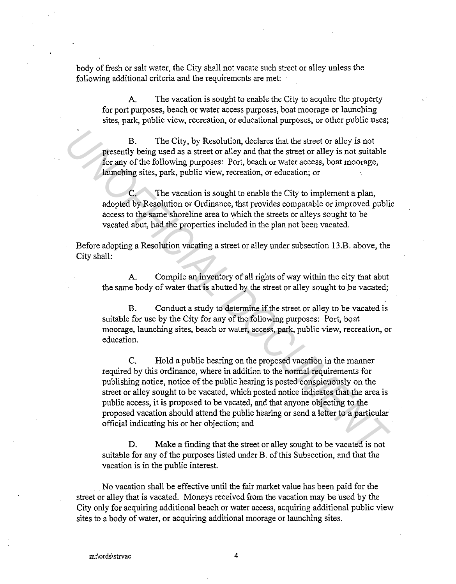body of fresh or salt water, the City shall not vacate such street or alley unless the following additional criteria and the requirements are met:

A. The vacation is sought to enable the City to acquire the property for port purposes, beach or water access purposes, boat moorage or launching sites, park, public view, recreation, or educational purposes, or other public uses;

B. The City, by Resolution, declares that the street or alley is not presently being used as a street or alley and that the street or alley is not suitable for any of the following purposes: Port, beach or water access, boat moorage, launching sites, park, public view, recreation, or education; or

C. The vacation is sought to enable the City to implement a plan, adopted by Resolution or Ordinance, that provides comparable or improved public access to the same shoreline area to which the streets or alleys sought to be vacated abut, had the properties included in the plan not been vacated.

Before adopting a Resolution vacating a street or alley under subsection 13.B. above, the City shall:

A. Compile an inventory of all rights of way within the city that abut the same body of water that is abutted by the street or alley sought to be vacated;

B. Conduct a study to determine if the street or alley to be vacated is suitable for use by the City for any of the following purposes: Port, boat moorage, launching sites, beach or water, access, park, public view, recreation, or education.

C. Hold a public hearing on the proposed vacation in the manner required by this ordinance, where in addition to the normal requirements for publishing notice, notice of the public hearing is posted conspicuously on the street or alley sought to be vacated, which posted notice indicates that the area is public access, it is proposed to be vacated, and that anyone objecting to the proposed vacation should attend the public hearing or send a letter to a particular official indicating his or her objection; and **IDENTIFY** THE City, by Resolution, declares that the street or alley is not<br>presently being used as a steret or alley and that the street or alley is not suitable<br>for any of the following pruposes: Port, beach to water ac

D. Make a finding that the street or alley sought to be vacated is not suitable for any of the purposes listed under B. of this Subsection, and that the vacation is in the public interest.

No vacation shall be effective until the fair market value has been paid for the street or alley that is vacated. Moneys received from the vacation may be used by the City only for acquiring additional beach or water access, acquiring additional public view sites to a body of water, or acquiring additional moorage or launching sites.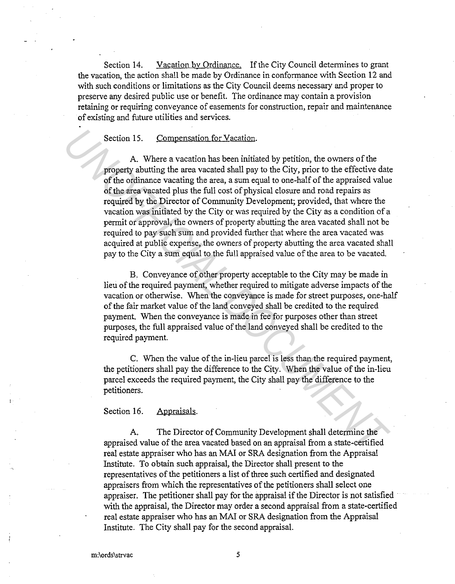Section 14. Vacation bv Ordinance. If the City Council determines to grant the vacation, the action shall be made by Ordinance in conformance with Section 12 and with such conditions or limitations as the City Council deems necessary and proper to preserve any desired public use or benefit. The ordinance may contain a provision retaining or requiring conveyance of easements for construction, repair and maintenance of existing and future utilities and services.

#### Section 15. Compensation for Vacation.

A. Where a vacation has been initiated by petition, the owners of the property abutting the area vacated shall pay to the City, prior to the effective date of the ordinance vacating the area, a sum equal to one-half of the appraised value of the area vacated plus the full cost of physical closure and road repairs as required by the Director of Community Development; provided, that where the vacation was initiated by the City or was required by the City as a condition of a permit or approval, the owners of property abutting the area vacated shall not be required to pay such sum and provided further that where the area vacated was acquired at public expense, the owners of property abutting the area vacated shall pay to the City a sum equal to the full appraised value of the area to be vacated. Section 15. Compensation for Vacation.<br>
A. Where a vecation has been initiated by petition, the owners of the<br>
property abutting the area vacated shall pay to the City, prior to the effective dat<br>
of the ordinance vacating

B. Conveyance of other property acceptable to the City may be made in lieu of the required payment, whether required to mitigate adverse impacts of the vacation or otherwise. When the conveyance is made for street purposes, one-half of the fair market value of the land conveyed shall be credited to the required payment. When the conveyance is made in fee for purposes other than street purposes, the full appraised value of the land conveyed shall be credited to the required payment.

C. When the value of the in-lieu parcel is less than the required payment, the petitioners shall pay the difference to the City. When the value of the in-lieu parcel exceeds the required payment, the City shall pay the difference to the petitioners.

### Section 16. Appraisals.

A. The Director of Community Development shall determine the appraised value of the area vacated based on an appraisal from a state-certified real estate appraiser who has an MAI or SRA designation from the Appraisal Institute. To obtain such appraisal, the Director shall present to the representatives of the petitioners a list of three such certified and designated appraisers from which the representatives of the petitioners shall select one appraiser. The petitioner shall pay for the appraisal if the Director is not satisfied with the appraisal, the Director may order a second appraisal from a state-certified real estate appraiser who has an MAI or SRA designation from the Appraisal Institute. The City shall pay for the second appraisal.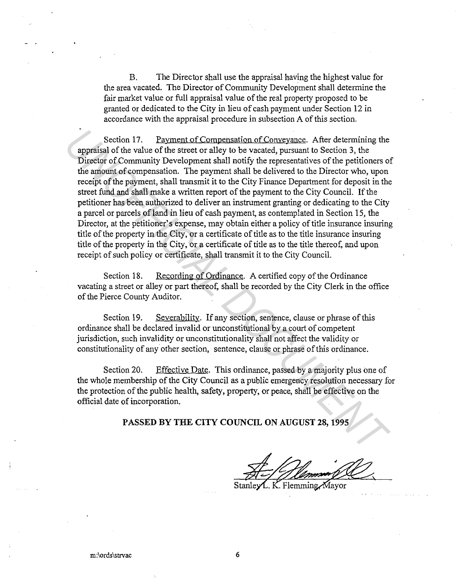B. The Director shall use the appraisal having the highest value for the area vacated. The Director of Community Development shall determine the fair market value or full appraisal value of the real property proposed to be granted or dedicated to the City in lieu of cash payment under Section 12 in accordance with the appraisal procedure in subsection A of this section.

Section 17. Payment of Compensation of Conveyance. After determining the appraisal of the value of the street or alley to be vacated, pursuant to Section 3, the Director of Community Development shall notify the representatives of the petitioners of the amount of compensation. The payment shall be delivered to the Director who, upon receipt of the payment, shall transmit it to the City Finance Department for deposit in the street fund and shall make a written report of the payment to the City Council. If the petitioner has been authorized to deliver an instrument granting or dedicating to the City a parcel or parcels of land in lieu of cash payment, as contemplated in Section 15, the Director, at the petitioner's expense, may obtain either a policy of title insurance insuring title of the property in the City, or a certificate of title as to the title insurance insuring title of the property in the City, or a certificate of title as to the title thereof, and upon receipt of such policy or certificate, shall transmit it to the City Council. Section 17. Payment of Compensation of Conveyance. After determining the payments of the value of the stretct or ally to be vacated, pursuant to Section 3, the virtual procedured in the presentatives of the petitioners of

Section 18. Recording of Ordinance. A certified copy of the Ordinance vacating a street or alley or part thereof, shall be recorded by the City Clerk in the office of the Pierce County Auditor.

Section 19. Severability. If any section, sentence, clause or phrase of this ordinance shall be declared invalid or unconstitutional by a court of competent jurisdiction, such invalidity or unconstitutionality shall not affect the validity or constitutionality of any other section, sentence, clause or phrase ofthis ordinance.

Section 20. Effective Date. This ordinance, passed by a majority plus one of the whole membership of the City Council as a public emergency resolution necessary for the protection of the public health, safety, property, or peace, shall be effective on the official date of incorporation.

**PASSED BY THE CITY COUNCIL ON AUGUST 28, 1995** 

L. K. Flemming Mayor